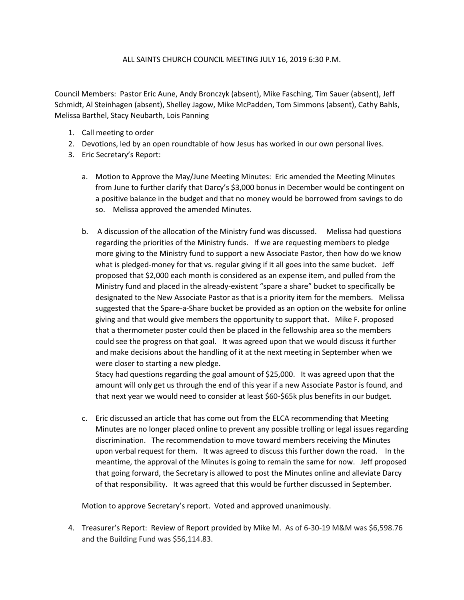## ALL SAINTS CHURCH COUNCIL MEETING JULY 16, 2019 6:30 P.M.

Council Members: Pastor Eric Aune, Andy Bronczyk (absent), Mike Fasching, Tim Sauer (absent), Jeff Schmidt, Al Steinhagen (absent), Shelley Jagow, Mike McPadden, Tom Simmons (absent), Cathy Bahls, Melissa Barthel, Stacy Neubarth, Lois Panning

- 1. Call meeting to order
- 2. Devotions, led by an open roundtable of how Jesus has worked in our own personal lives.
- 3. Eric Secretary's Report:
	- a. Motion to Approve the May/June Meeting Minutes: Eric amended the Meeting Minutes from June to further clarify that Darcy's \$3,000 bonus in December would be contingent on a positive balance in the budget and that no money would be borrowed from savings to do so. Melissa approved the amended Minutes.
	- b. A discussion of the allocation of the Ministry fund was discussed. Melissa had questions regarding the priorities of the Ministry funds. If we are requesting members to pledge more giving to the Ministry fund to support a new Associate Pastor, then how do we know what is pledged-money for that vs. regular giving if it all goes into the same bucket. Jeff proposed that \$2,000 each month is considered as an expense item, and pulled from the Ministry fund and placed in the already-existent "spare a share" bucket to specifically be designated to the New Associate Pastor as that is a priority item for the members. Melissa suggested that the Spare-a-Share bucket be provided as an option on the website for online giving and that would give members the opportunity to support that. Mike F. proposed that a thermometer poster could then be placed in the fellowship area so the members could see the progress on that goal. It was agreed upon that we would discuss it further and make decisions about the handling of it at the next meeting in September when we were closer to starting a new pledge.

Stacy had questions regarding the goal amount of \$25,000. It was agreed upon that the amount will only get us through the end of this year if a new Associate Pastor is found, and that next year we would need to consider at least \$60-\$65k plus benefits in our budget.

c. Eric discussed an article that has come out from the ELCA recommending that Meeting Minutes are no longer placed online to prevent any possible trolling or legal issues regarding discrimination. The recommendation to move toward members receiving the Minutes upon verbal request for them. It was agreed to discuss this further down the road. In the meantime, the approval of the Minutes is going to remain the same for now. Jeff proposed that going forward, the Secretary is allowed to post the Minutes online and alleviate Darcy of that responsibility. It was agreed that this would be further discussed in September.

Motion to approve Secretary's report. Voted and approved unanimously.

4. Treasurer's Report: Review of Report provided by Mike M. As of 6-30-19 M&M was \$6,598.76 and the Building Fund was \$56,114.83.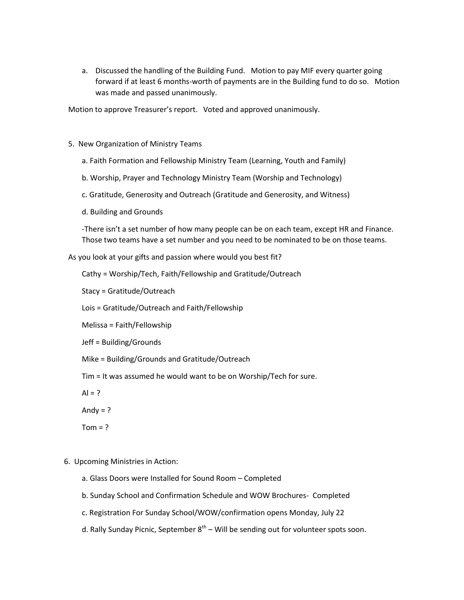a. Discussed the handling of the Building Fund. Motion to pay MIF every quarter going forward if at least 6 months-worth of payments are in the Building fund to do so. Motion was made and passed unanimously.

Motion to approve Treasurer's report. Voted and approved unanimously.

- 5. New Organization of Ministry Teams
	- a. Faith Formation and Fellowship Ministry Team (Learning, Youth and Family)
	- b. Worship, Prayer and Technology Ministry Team (Worship and Technology)
	- c. Gratitude, Generosity and Outreach (Gratitude and Generosity, and Witness)
	- d. Building and Grounds

-There isn't a set number of how many people can be on each team, except HR and Finance. Those two teams have a set number and you need to be nominated to be on those teams.

As you look at your gifts and passion where would you best fit?

Cathy = Worship/Tech, Faith/Fellowship and Gratitude/Outreach

Stacy = Gratitude/Outreach

Lois = Gratitude/Outreach and Faith/Fellowship

Melissa = Faith/Fellowship

Jeff = Building/Grounds

Mike = Building/Grounds and Gratitude/Outreach

Tim = It was assumed he would want to be on Worship/Tech for sure.

 $Al = ?$ 

Andy =  $?$ 

 $Tom = ?$ 

- 6. Upcoming Ministries in Action:
	- a. Glass Doors were Installed for Sound Room Completed
	- b. Sunday School and Confirmation Schedule and WOW Brochures- Completed
	- c. Registration For Sunday School/WOW/confirmation opens Monday, July 22
	- d. Rally Sunday Picnic, September 8<sup>th</sup> Will be sending out for volunteer spots soon.